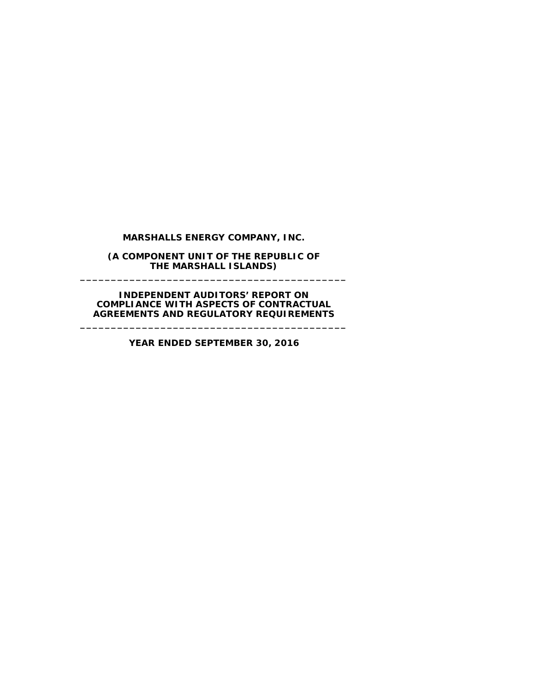## **MARSHALLS ENERGY COMPANY, INC.**

**(A COMPONENT UNIT OF THE REPUBLIC OF THE MARSHALL ISLANDS) \_\_\_\_\_\_\_\_\_\_\_\_\_\_\_\_\_\_\_\_\_\_\_\_\_\_\_\_\_\_\_\_\_\_\_\_\_\_\_\_\_\_\_**

**INDEPENDENT AUDITORS' REPORT ON COMPLIANCE WITH ASPECTS OF CONTRACTUAL AGREEMENTS AND REGULATORY REQUIREMENTS**

**\_\_\_\_\_\_\_\_\_\_\_\_\_\_\_\_\_\_\_\_\_\_\_\_\_\_\_\_\_\_\_\_\_\_\_\_\_\_\_\_\_\_\_**

**YEAR ENDED SEPTEMBER 30, 2016**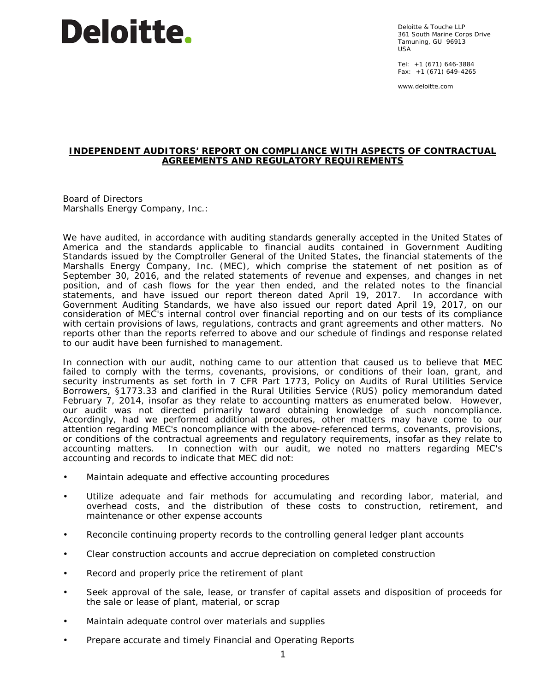## **Deloitte.**

Deloitte & Touche LLP 361 South Marine Corps Drive Tamuning, GU 96913 USA

Tel: +1 (671) 646-3884 Fax: +1 (671) 649-4265

www.deloitte.com

## **INDEPENDENT AUDITORS' REPORT ON COMPLIANCE WITH ASPECTS OF CONTRACTUAL AGREEMENTS AND REGULATORY REQUIREMENTS**

Board of Directors Marshalls Energy Company, Inc.:

We have audited, in accordance with auditing standards generally accepted in the United States of America and the standards applicable to financial audits contained in *Government Auditing Standards* issued by the Comptroller General of the United States, the financial statements of the Marshalls Energy Company, Inc. (MEC), which comprise the statement of net position as of September 30, 2016, and the related statements of revenue and expenses, and changes in net position, and of cash flows for the year then ended, and the related notes to the financial statements, and have issued our report thereon dated April 19, 2017. In accordance with *Government Auditing Standards*, we have also issued our report dated April 19, 2017, on our consideration of MEC's internal control over financial reporting and on our tests of its compliance with certain provisions of laws, regulations, contracts and grant agreements and other matters. No reports other than the reports referred to above and our schedule of findings and response related to our audit have been furnished to management.

In connection with our audit, nothing came to our attention that caused us to believe that MEC failed to comply with the terms, covenants, provisions, or conditions of their loan, grant, and security instruments as set forth in 7 CFR Part 1773, *Policy on Audits of Rural Utilities Service Borrowers*, §1773.33 and clarified in the Rural Utilities Service (RUS) policy memorandum dated February 7, 2014, insofar as they relate to accounting matters as enumerated below. However, our audit was not directed primarily toward obtaining knowledge of such noncompliance. Accordingly, had we performed additional procedures, other matters may have come to our attention regarding MEC's noncompliance with the above-referenced terms, covenants, provisions, or conditions of the contractual agreements and regulatory requirements, insofar as they relate to accounting matters. In connection with our audit, we noted no matters regarding MEC's accounting and records to indicate that MEC did not:

- Maintain adequate and effective accounting procedures
- Utilize adequate and fair methods for accumulating and recording labor, material, and overhead costs, and the distribution of these costs to construction, retirement, and maintenance or other expense accounts
- Reconcile continuing property records to the controlling general ledger plant accounts
- Clear construction accounts and accrue depreciation on completed construction
- Record and properly price the retirement of plant
- Seek approval of the sale, lease, or transfer of capital assets and disposition of proceeds for the sale or lease of plant, material, or scrap
- Maintain adequate control over materials and supplies
- Prepare accurate and timely Financial and Operating Reports